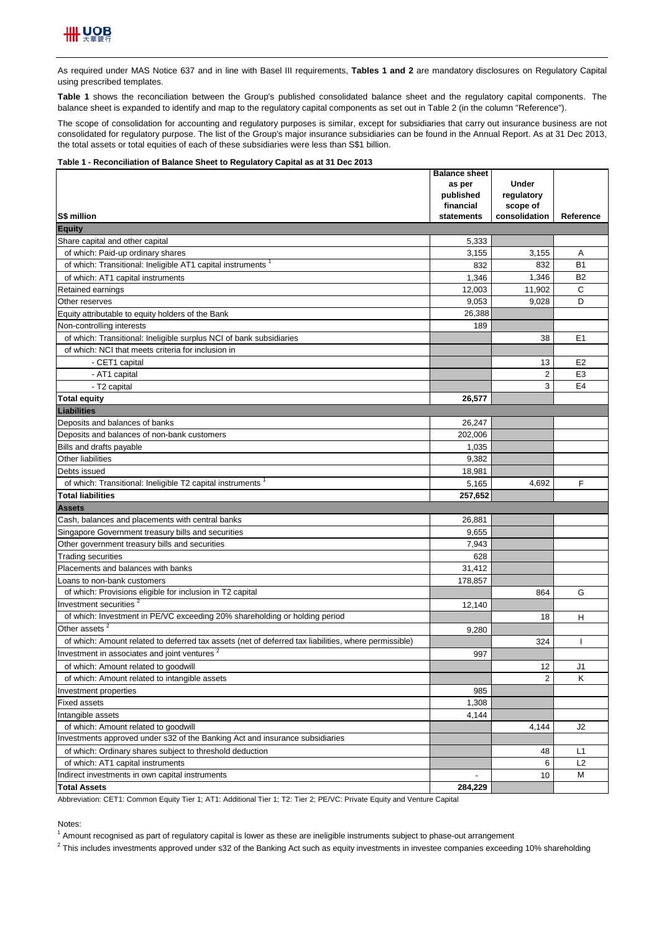

As required under MAS Notice 637 and in line with Basel III requirements, **Tables 1 and 2** are mandatory disclosures on Regulatory Capital using prescribed templates.

**Table 1** shows the reconciliation between the Group's published consolidated balance sheet and the regulatory capital components. The balance sheet is expanded to identify and map to the regulatory capital components as set out in Table 2 (in the column "Reference").

The scope of consolidation for accounting and regulatory purposes is similar, except for subsidiaries that carry out insurance business are not consolidated for regulatory purpose. The list of the Group's major insurance subsidiaries can be found in the Annual Report. As at 31 Dec 2013, the total assets or total equities of each of these subsidiaries were less than S\$1 billion.

#### **Table 1 - Reconciliation of Balance Sheet to Regulatory Capital as at 31 Dec 2013**

|                                                                                                      | <b>Balance sheet</b> |                |                |
|------------------------------------------------------------------------------------------------------|----------------------|----------------|----------------|
|                                                                                                      | as per               | <b>Under</b>   |                |
|                                                                                                      | published            | regulatory     |                |
|                                                                                                      | financial            | scope of       |                |
| S\$ million                                                                                          | statements           | consolidation  | Reference      |
| <b>Equity</b>                                                                                        |                      |                |                |
| Share capital and other capital                                                                      | 5,333                |                |                |
| of which: Paid-up ordinary shares                                                                    | 3,155                | 3,155          | A              |
| of which: Transitional: Ineligible AT1 capital instruments <sup>1</sup>                              | 832                  | 832            | <b>B1</b>      |
| of which: AT1 capital instruments                                                                    | 1,346                | 1,346          | B <sub>2</sub> |
| Retained earnings                                                                                    | 12,003               | 11.902         | C              |
| Other reserves                                                                                       | 9,053                | 9,028          | D              |
| Equity attributable to equity holders of the Bank                                                    | 26.388               |                |                |
| Non-controlling interests                                                                            | 189                  |                |                |
| of which: Transitional: Ineligible surplus NCI of bank subsidiaries                                  |                      | 38             | E <sub>1</sub> |
| of which: NCI that meets criteria for inclusion in                                                   |                      |                |                |
| - CET1 capital                                                                                       |                      | 13             | E <sub>2</sub> |
| - AT1 capital                                                                                        |                      | $\overline{2}$ | E <sub>3</sub> |
| - T2 capital                                                                                         |                      | 3              | E4             |
| <b>Total equity</b>                                                                                  | 26,577               |                |                |
| <b>Liabilities</b>                                                                                   |                      |                |                |
| Deposits and balances of banks                                                                       | 26,247               |                |                |
| Deposits and balances of non-bank customers                                                          | 202,006              |                |                |
| Bills and drafts payable                                                                             | 1,035                |                |                |
| Other liabilities                                                                                    | 9,382                |                |                |
| Debts issued                                                                                         | 18,981               |                |                |
| of which: Transitional: Ineligible T2 capital instruments <sup>1</sup>                               | 5,165                | 4,692          | F              |
| <b>Total liabilities</b>                                                                             | 257,652              |                |                |
| <b>Assets</b>                                                                                        |                      |                |                |
| Cash, balances and placements with central banks                                                     | 26,881               |                |                |
| Singapore Government treasury bills and securities                                                   | 9,655                |                |                |
| Other government treasury bills and securities                                                       | 7,943                |                |                |
| <b>Trading securities</b>                                                                            | 628                  |                |                |
| Placements and balances with banks                                                                   | 31,412               |                |                |
| Loans to non-bank customers                                                                          | 178,857              |                |                |
| of which: Provisions eligible for inclusion in T2 capital                                            |                      | 864            | G              |
| Investment securities <sup>2</sup>                                                                   | 12,140               |                |                |
| of which: Investment in PE/VC exceeding 20% shareholding or holding period                           |                      | 18             | н              |
| Other assets <sup>2</sup>                                                                            | 9,280                |                |                |
| of which: Amount related to deferred tax assets (net of deferred tax liabilities, where permissible) |                      | 324            |                |
| Investment in associates and joint ventures <sup>2</sup>                                             | 997                  |                |                |
| of which: Amount related to goodwill                                                                 |                      | 12             | J1             |
|                                                                                                      |                      | 2              | Κ              |
| of which: Amount related to intangible assets<br>Investment properties                               |                      |                |                |
|                                                                                                      | 985                  |                |                |
| Fixed assets                                                                                         | 1,308                |                |                |
| Intangible assets                                                                                    | 4,144                |                |                |
| of which: Amount related to goodwill                                                                 |                      | 4,144          | J2             |
| Investments approved under s32 of the Banking Act and insurance subsidiaries                         |                      |                |                |
| of which: Ordinary shares subject to threshold deduction                                             |                      | 48             | L1             |
| of which: AT1 capital instruments                                                                    |                      | 6              | L <sub>2</sub> |
| Indirect investments in own capital instruments                                                      |                      | 10             | М              |
| <b>Total Assets</b>                                                                                  | 284,229              |                |                |

Abbreviation: CET1: Common Equity Tier 1; AT1: Additional Tier 1; T2: Tier 2; PE/VC: Private Equity and Venture Capital

#### Notes:

<sup>1</sup> Amount recognised as part of regulatory capital is lower as these are ineligible instruments subject to phase-out arrangement

 $^2$  This includes investments approved under s32 of the Banking Act such as equity investments in investee companies exceeding 10% shareholding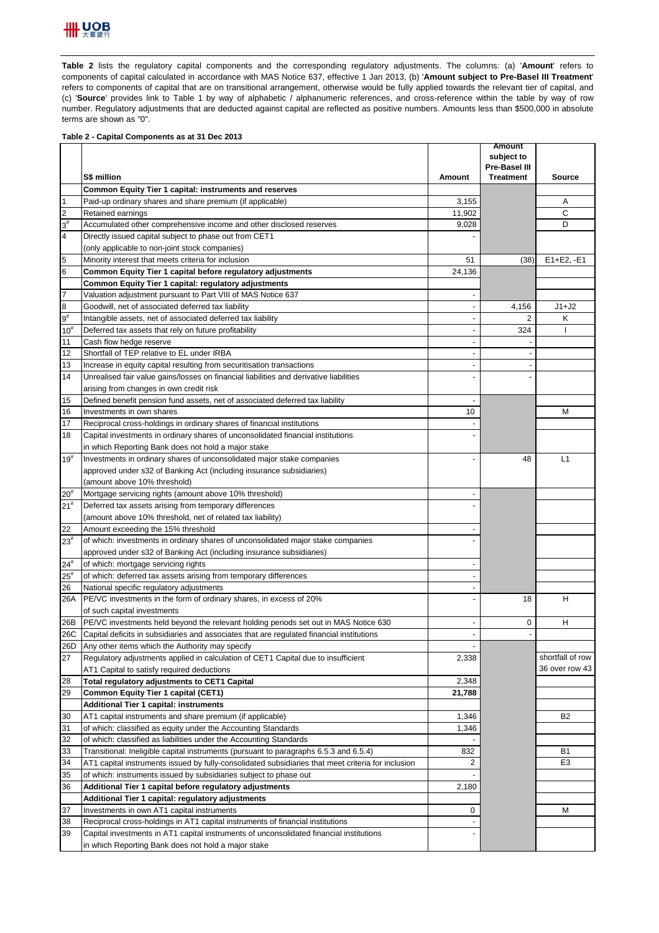

**Table 2** lists the regulatory capital components and the corresponding regulatory adjustments. The columns: (a) '**Amount**' refers to components of capital calculated in accordance with MAS Notice 637, effective 1 Jan 2013, (b) '**Amount subject to Pre-Basel III Treatment**' refers to components of capital that are on transitional arrangement, otherwise would be fully applied towards the relevant tier of capital, and (c) '**Source**' provides link to Table 1 by way of alphabetic / alphanumeric references, and cross-reference within the table by way of row number. Regulatory adjustments that are deducted against capital are reflected as positive numbers. Amounts less than \$500,000 in absolute terms are shown as "0".

## **Table 2 - Capital Components as at 31 Dec 2013**

|                 |                                                                                                    |                          | <b>Amount</b><br>subject to |                  |
|-----------------|----------------------------------------------------------------------------------------------------|--------------------------|-----------------------------|------------------|
|                 |                                                                                                    |                          | Pre-Basel III               |                  |
|                 | S\$ million                                                                                        | Amount                   | <b>Treatment</b>            | Source           |
|                 | Common Equity Tier 1 capital: instruments and reserves                                             |                          |                             |                  |
| $\overline{1}$  | Paid-up ordinary shares and share premium (if applicable)                                          | 3,155                    |                             | Α                |
| $\overline{2}$  | Retained earnings                                                                                  | 11,902                   |                             | C                |
| $3^{\sharp}$    | Accumulated other comprehensive income and other disclosed reserves                                | 9,028                    |                             | D                |
| $\overline{4}$  | Directly issued capital subject to phase out from CET1                                             |                          |                             |                  |
|                 | (only applicable to non-joint stock companies)                                                     |                          |                             |                  |
| 5               | Minority interest that meets criteria for inclusion                                                | 51                       | (38)                        | $E1 + E2, -E1$   |
| $6\phantom{.}6$ | Common Equity Tier 1 capital before regulatory adjustments                                         | 24,136                   |                             |                  |
|                 | Common Equity Tier 1 capital: regulatory adjustments                                               |                          |                             |                  |
| $\overline{7}$  | Valuation adjustment pursuant to Part VIII of MAS Notice 637                                       | $\blacksquare$           |                             |                  |
| $\bf{8}$        | Goodwill, net of associated deferred tax liability                                                 | $\blacksquare$           | 4,156                       | $J1+J2$          |
| $9^{\#}$        | Intangible assets, net of associated deferred tax liability                                        | $\blacksquare$           | 2                           | κ                |
| $10^{#}$        | Deferred tax assets that rely on future profitability                                              |                          | 324                         |                  |
| 11              | Cash flow hedge reserve                                                                            |                          |                             |                  |
| 12              | Shortfall of TEP relative to EL under IRBA                                                         | $\blacksquare$           |                             |                  |
| 13              | Increase in equity capital resulting from securitisation transactions                              | $\overline{\phantom{a}}$ |                             |                  |
| 14              | Unrealised fair value gains/losses on financial liabilities and derivative liabilities             |                          |                             |                  |
|                 | arising from changes in own credit risk                                                            |                          |                             |                  |
| 15              | Defined benefit pension fund assets, net of associated deferred tax liability                      | $\overline{a}$           |                             |                  |
| 16              | Investments in own shares                                                                          | 10                       |                             | M                |
| 17              | Reciprocal cross-holdings in ordinary shares of financial institutions                             |                          |                             |                  |
| 18              | Capital investments in ordinary shares of unconsolidated financial institutions                    |                          |                             |                  |
|                 | in which Reporting Bank does not hold a major stake                                                |                          |                             |                  |
| $19^{#}$        | Investments in ordinary shares of unconsolidated major stake companies                             |                          | 48                          | L1               |
|                 | approved under s32 of Banking Act (including insurance subsidiaries)                               |                          |                             |                  |
|                 | (amount above 10% threshold)                                                                       |                          |                             |                  |
| $20^{#}$        | Mortgage servicing rights (amount above 10% threshold)                                             |                          |                             |                  |
| $21^{\rm \#}$   | Deferred tax assets arising from temporary differences                                             |                          |                             |                  |
|                 | (amount above 10% threshold, net of related tax liability)                                         |                          |                             |                  |
| 22              | Amount exceeding the 15% threshold                                                                 |                          |                             |                  |
| $23^{#}$        | of which: investments in ordinary shares of unconsolidated major stake companies                   |                          |                             |                  |
|                 | approved under s32 of Banking Act (including insurance subsidiaries)                               |                          |                             |                  |
| $24^{#}$        | of which: mortgage servicing rights                                                                |                          |                             |                  |
| $25^{\circ}$    | of which: deferred tax assets arising from temporary differences                                   |                          |                             |                  |
| 26              | National specific regulatory adjustments                                                           |                          |                             |                  |
| 26A             | PE/VC investments in the form of ordinary shares, in excess of 20%                                 |                          | 18                          | Н                |
|                 | of such capital investments                                                                        |                          |                             |                  |
| 26B             | PE/VC investments held beyond the relevant holding periods set out in MAS Notice 630               | $\overline{a}$           | 0                           | Н                |
| 26C             | Capital deficits in subsidiaries and associates that are regulated financial institutions          |                          |                             |                  |
| 26D             | Any other items which the Authority may specify                                                    |                          |                             |                  |
| 27              | Regulatory adjustments applied in calculation of CET1 Capital due to insufficient                  | 2,338                    |                             | shortfall of row |
|                 | AT1 Capital to satisfy required deductions                                                         |                          |                             | 36 over row 43   |
| 28              | Total regulatory adjustments to CET1 Capital                                                       | 2,348                    |                             |                  |
| 29              | <b>Common Equity Tier 1 capital (CET1)</b>                                                         | 21,788                   |                             |                  |
|                 | <b>Additional Tier 1 capital: instruments</b>                                                      |                          |                             |                  |
| 30              | AT1 capital instruments and share premium (if applicable)                                          | 1,346                    |                             | B <sub>2</sub>   |
| 31              | of which: classified as equity under the Accounting Standards                                      | 1,346                    |                             |                  |
| 32              | of which: classified as liabilities under the Accounting Standards                                 |                          |                             |                  |
| 33              | Transitional: Ineligible capital instruments (pursuant to paragraphs 6.5.3 and 6.5.4)              | 832                      |                             | <b>B1</b>        |
| 34              | AT1 capital instruments issued by fully-consolidated subsidiaries that meet criteria for inclusion | $\overline{2}$           |                             | E <sub>3</sub>   |
| 35              | of which: instruments issued by subsidiaries subject to phase out                                  |                          |                             |                  |
| 36              | Additional Tier 1 capital before regulatory adjustments                                            | 2,180                    |                             |                  |
|                 | Additional Tier 1 capital: regulatory adjustments                                                  |                          |                             |                  |
| 37              | Investments in own AT1 capital instruments                                                         | 0                        |                             | M                |
| 38              | Reciprocal cross-holdings in AT1 capital instruments of financial institutions                     |                          |                             |                  |
| 39              | Capital investments in AT1 capital instruments of unconsolidated financial institutions            |                          |                             |                  |
|                 | in which Reporting Bank does not hold a major stake                                                |                          |                             |                  |
|                 |                                                                                                    |                          |                             |                  |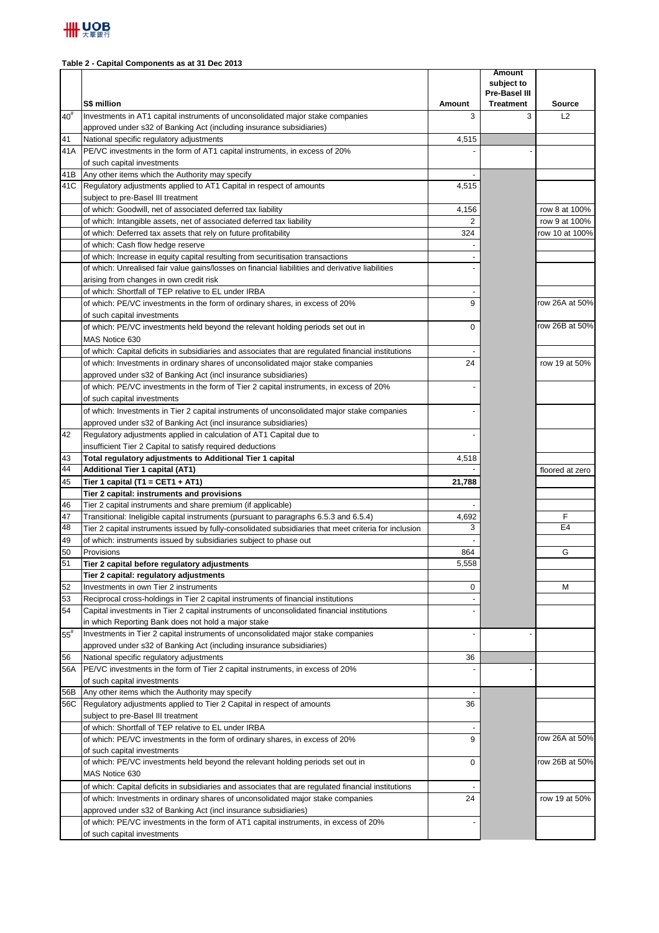### **Table 2 - Capital Components as at 31 Dec 2013**

|          | S\$ million                                                                                                                              | Amount         | <b>Amount</b><br>subject to<br>Pre-Basel III<br><b>Treatment</b> | <b>Source</b>   |
|----------|------------------------------------------------------------------------------------------------------------------------------------------|----------------|------------------------------------------------------------------|-----------------|
| $40^{#}$ | Investments in AT1 capital instruments of unconsolidated major stake companies                                                           | 3              | 3                                                                | L2              |
|          | approved under s32 of Banking Act (including insurance subsidiaries)                                                                     |                |                                                                  |                 |
| 41       | National specific regulatory adjustments                                                                                                 | 4,515          |                                                                  |                 |
| 41A      | PE/VC investments in the form of AT1 capital instruments, in excess of 20%                                                               |                |                                                                  |                 |
|          | of such capital investments                                                                                                              |                |                                                                  |                 |
| 41B      | Any other items which the Authority may specify                                                                                          |                |                                                                  |                 |
| 41C      | Regulatory adjustments applied to AT1 Capital in respect of amounts                                                                      | 4,515          |                                                                  |                 |
|          | subject to pre-Basel III treatment                                                                                                       |                |                                                                  |                 |
|          | of which: Goodwill, net of associated deferred tax liability                                                                             | 4,156          |                                                                  | row 8 at 100%   |
|          | of which: Intangible assets, net of associated deferred tax liability                                                                    | $\overline{2}$ |                                                                  | row 9 at 100%   |
|          | of which: Deferred tax assets that rely on future profitability                                                                          | 324            |                                                                  | row 10 at 100%  |
|          | of which: Cash flow hedge reserve                                                                                                        |                |                                                                  |                 |
|          | of which: Increase in equity capital resulting from securitisation transactions                                                          |                |                                                                  |                 |
|          | of which: Unrealised fair value gains/losses on financial liabilities and derivative liabilities                                         |                |                                                                  |                 |
|          | arising from changes in own credit risk<br>of which: Shortfall of TEP relative to EL under IRBA                                          |                |                                                                  |                 |
|          | of which: PE/VC investments in the form of ordinary shares, in excess of 20%                                                             | 9              |                                                                  | row 26A at 50%  |
|          | of such capital investments                                                                                                              |                |                                                                  |                 |
|          | of which: PE/VC investments held beyond the relevant holding periods set out in                                                          | $\mathbf 0$    |                                                                  | row 26B at 50%  |
|          | MAS Notice 630                                                                                                                           |                |                                                                  |                 |
|          | of which: Capital deficits in subsidiaries and associates that are regulated financial institutions                                      |                |                                                                  |                 |
|          | of which: Investments in ordinary shares of unconsolidated major stake companies                                                         | 24             |                                                                  | row 19 at 50%   |
|          | approved under s32 of Banking Act (incl insurance subsidiaries)                                                                          |                |                                                                  |                 |
|          | of which: PE/VC investments in the form of Tier 2 capital instruments, in excess of 20%                                                  |                |                                                                  |                 |
|          | of such capital investments                                                                                                              |                |                                                                  |                 |
|          | of which: Investments in Tier 2 capital instruments of unconsolidated major stake companies                                              |                |                                                                  |                 |
|          | approved under s32 of Banking Act (incl insurance subsidiaries)                                                                          |                |                                                                  |                 |
| 42       | Regulatory adjustments applied in calculation of AT1 Capital due to                                                                      |                |                                                                  |                 |
|          | insufficient Tier 2 Capital to satisfy required deductions                                                                               |                |                                                                  |                 |
| 43       | Total regulatory adjustments to Additional Tier 1 capital                                                                                | 4,518          |                                                                  |                 |
| 44       | Additional Tier 1 capital (AT1)                                                                                                          |                |                                                                  | floored at zero |
| 45       | Tier 1 capital (T1 = CET1 + AT1)                                                                                                         | 21,788         |                                                                  |                 |
|          | Tier 2 capital: instruments and provisions                                                                                               |                |                                                                  |                 |
| 46       | Tier 2 capital instruments and share premium (if applicable)                                                                             |                |                                                                  |                 |
| 47       | Transitional: Ineligible capital instruments (pursuant to paragraphs 6.5.3 and 6.5.4)                                                    | 4,692          |                                                                  | F               |
| 48       | Tier 2 capital instruments issued by fully-consolidated subsidiaries that meet criteria for inclusion                                    | 3              |                                                                  | E <sub>4</sub>  |
| 49       | of which: instruments issued by subsidiaries subject to phase out                                                                        |                |                                                                  |                 |
| 50       | Provisions                                                                                                                               | 864            |                                                                  | G               |
| 51       | Tier 2 capital before regulatory adjustments                                                                                             | 5,558          |                                                                  |                 |
|          | Tier 2 capital: regulatory adjustments                                                                                                   |                |                                                                  |                 |
| 52       | Investments in own Tier 2 instruments                                                                                                    | 0              |                                                                  | М               |
| 53       | Reciprocal cross-holdings in Tier 2 capital instruments of financial institutions                                                        |                |                                                                  |                 |
| 54       | Capital investments in Tier 2 capital instruments of unconsolidated financial institutions                                               |                |                                                                  |                 |
|          | in which Reporting Bank does not hold a major stake<br>Investments in Tier 2 capital instruments of unconsolidated major stake companies |                |                                                                  |                 |
| $55^{#}$ | approved under s32 of Banking Act (including insurance subsidiaries)                                                                     |                |                                                                  |                 |
| 56       | National specific regulatory adjustments                                                                                                 | 36             |                                                                  |                 |
| 56A      | PE/VC investments in the form of Tier 2 capital instruments, in excess of 20%                                                            |                |                                                                  |                 |
|          | of such capital investments                                                                                                              |                |                                                                  |                 |
| 56B      | Any other items which the Authority may specify                                                                                          |                |                                                                  |                 |
|          | 56C Regulatory adjustments applied to Tier 2 Capital in respect of amounts                                                               | 36             |                                                                  |                 |
|          | subject to pre-Basel III treatment                                                                                                       |                |                                                                  |                 |
|          | of which: Shortfall of TEP relative to EL under IRBA                                                                                     |                |                                                                  |                 |
|          | of which: PE/VC investments in the form of ordinary shares, in excess of 20%                                                             | 9              |                                                                  | row 26A at 50%  |
|          | of such capital investments                                                                                                              |                |                                                                  |                 |
|          | of which: PE/VC investments held beyond the relevant holding periods set out in                                                          | 0              |                                                                  | row 26B at 50%  |
|          | MAS Notice 630                                                                                                                           |                |                                                                  |                 |
|          | of which: Capital deficits in subsidiaries and associates that are regulated financial institutions                                      |                |                                                                  |                 |
|          | of which: Investments in ordinary shares of unconsolidated major stake companies                                                         | 24             |                                                                  | row 19 at 50%   |
|          | approved under s32 of Banking Act (incl insurance subsidiaries)                                                                          |                |                                                                  |                 |
|          | of which: PE/VC investments in the form of AT1 capital instruments, in excess of 20%                                                     |                |                                                                  |                 |
|          | of such capital investments                                                                                                              |                |                                                                  |                 |